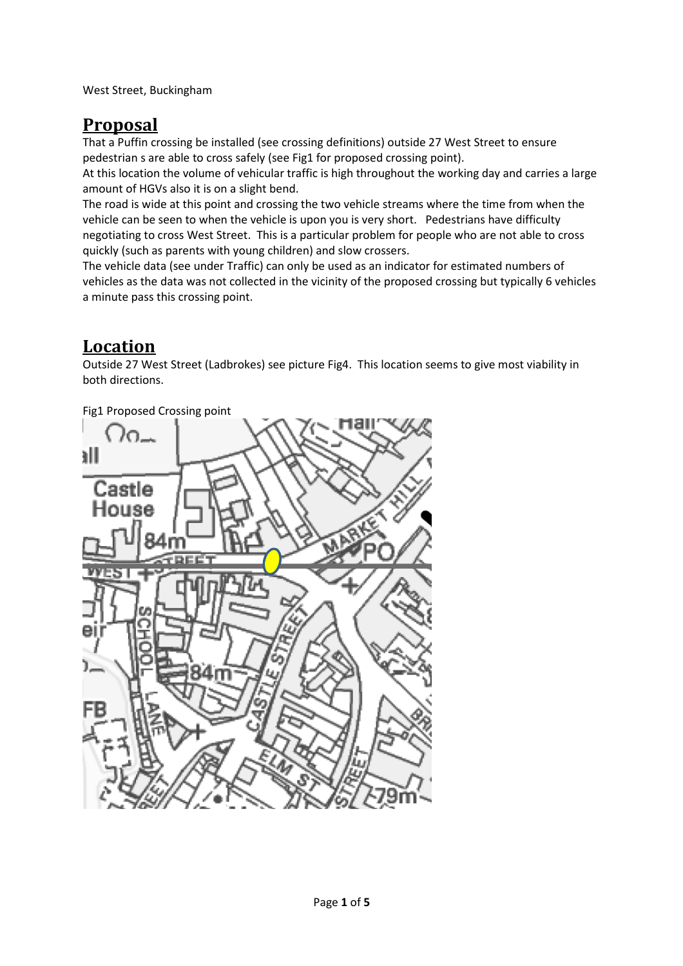West Street, Buckingham

# **Proposal**

That a Puffin crossing be installed (see crossing definitions) outside 27 West Street to ensure pedestrian s are able to cross safely (see Fig1 for proposed crossing point). At this location the volume of vehicular traffic is high throughout the working day and carries a large amount of HGVs also it is on a slight bend.

The road is wide at this point and crossing the two vehicle streams where the time from when the vehicle can be seen to when the vehicle is upon you is very short. Pedestrians have difficulty negotiating to cross West Street. This is a particular problem for people who are not able to cross quickly (such as parents with young children) and slow crossers.

The vehicle data (see under Traffic) can only be used as an indicator for estimated numbers of vehicles as the data was not collected in the vicinity of the proposed crossing but typically 6 vehicles a minute pass this crossing point.

## **Location**

Outside 27 West Street (Ladbrokes) see picture Fig4. This location seems to give most viability in both directions.



Fig1 Proposed Crossing point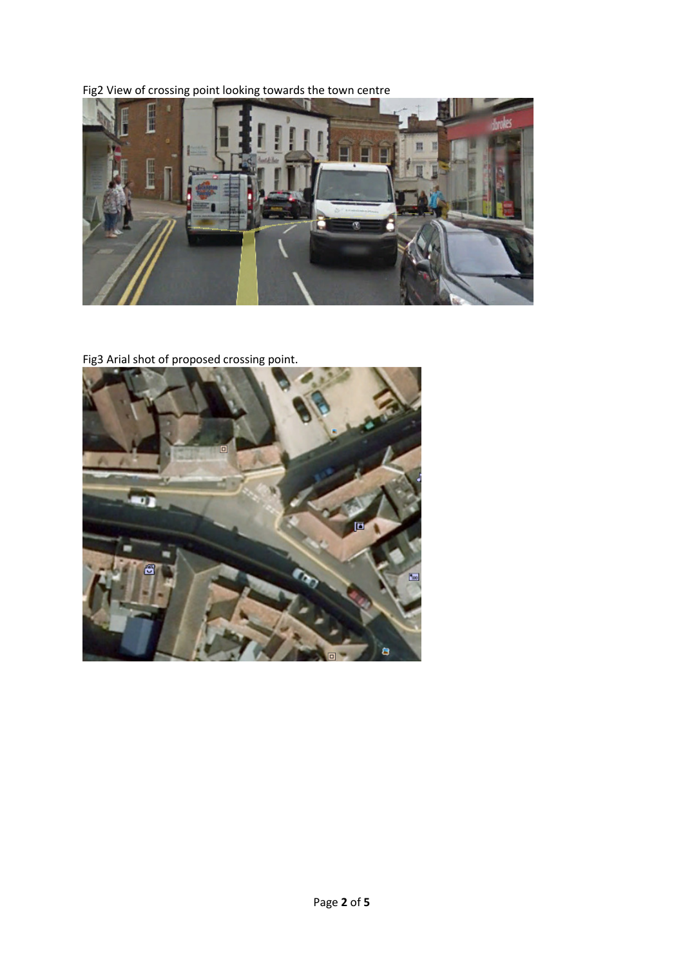Fig2 View of crossing point looking towards the town centre



Fig3 Arial shot of proposed crossing point.

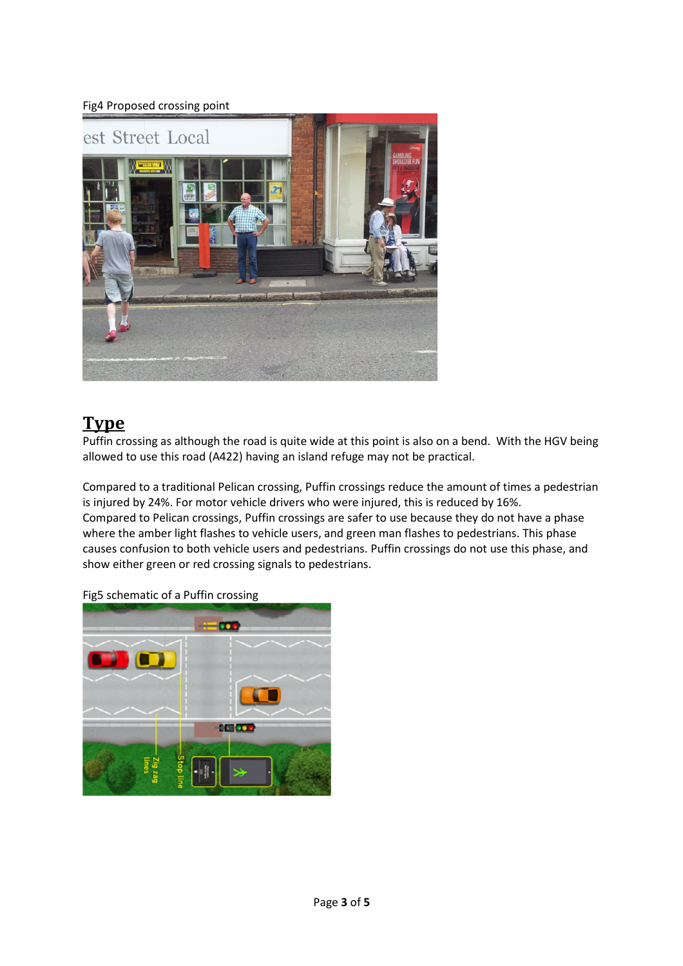## Fig4 Proposed crossing point



# **Type**

Puffin crossing as although the road is quite wide at this point is also on a bend. With the HGV being allowed to use this road (A422) having an island refuge may not be practical.

Compared to a traditional Pelican crossing, Puffin crossings reduce the amount of times a pedestrian is injured by 24%. For motor vehicle drivers who were injured, this is reduced by 16%. Compared to Pelican crossings, Puffin crossings are safer to use because they do not have a phase where the amber light flashes to vehicle users, and green man flashes to pedestrians. This phase causes confusion to both vehicle users and pedestrians. Puffin crossings do not use this phase, and show either green or red crossing signals to pedestrians.



Fig5 schematic of a Puffin crossing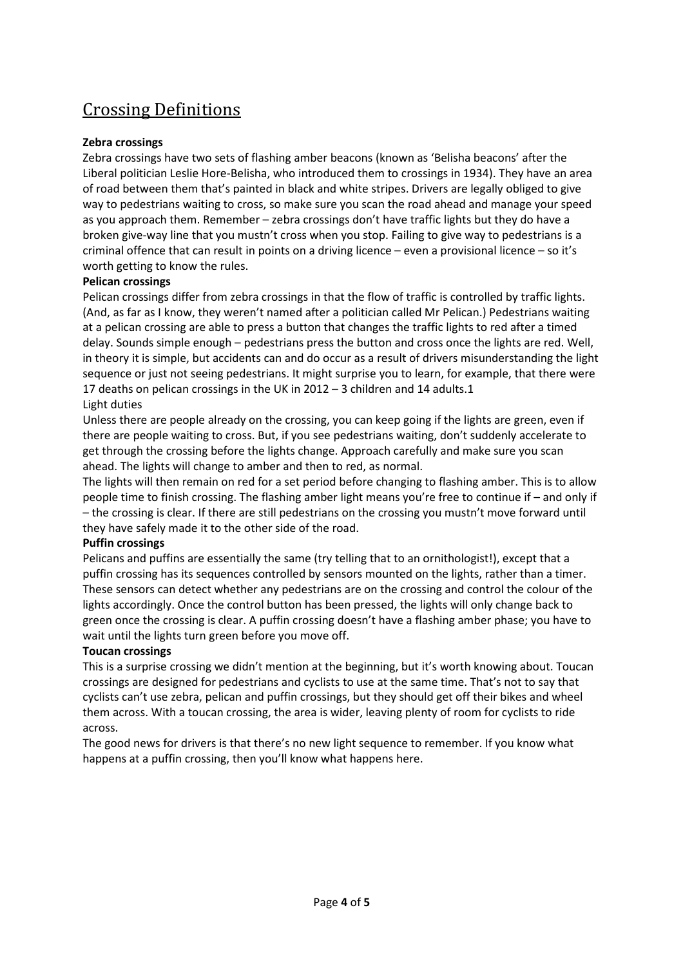# Crossing Definitions

## **Zebra crossings**

Zebra crossings have two sets of flashing amber beacons (known as 'Belisha beacons' after the Liberal politician Leslie Hore-Belisha, who introduced them to crossings in 1934). They have an area of road between them that's painted in black and white stripes. Drivers are legally obliged to give way to pedestrians waiting to cross, so make sure you scan the road ahead and manage your speed as you approach them. Remember – zebra crossings don't have traffic lights but they do have a broken give-way line that you mustn't cross when you stop. Failing to give way to pedestrians is a criminal offence that can result in points on a driving licence – even a provisional licence – so it's worth getting to know the rules.

#### **Pelican crossings**

Pelican crossings differ from zebra crossings in that the flow of traffic is controlled by traffic lights. (And, as far as I know, they weren't named after a politician called Mr Pelican.) Pedestrians waiting at a pelican crossing are able to press a button that changes the traffic lights to red after a timed delay. Sounds simple enough – pedestrians press the button and cross once the lights are red. Well, in theory it is simple, but accidents can and do occur as a result of drivers misunderstanding the light sequence or just not seeing pedestrians. It might surprise you to learn, for example, that there were 17 deaths on pelican crossings in the UK in 2012 – 3 children and 14 adults.1

#### Light duties

Unless there are people already on the crossing, you can keep going if the lights are green, even if there are people waiting to cross. But, if you see pedestrians waiting, don't suddenly accelerate to get through the crossing before the lights change. Approach carefully and make sure you scan ahead. The lights will change to amber and then to red, as normal.

The lights will then remain on red for a set period before changing to flashing amber. This is to allow people time to finish crossing. The flashing amber light means you're free to continue if – and only if – the crossing is clear. If there are still pedestrians on the crossing you mustn't move forward until they have safely made it to the other side of the road.

#### **Puffin crossings**

Pelicans and puffins are essentially the same (try telling that to an ornithologist!), except that a puffin crossing has its sequences controlled by sensors mounted on the lights, rather than a timer. These sensors can detect whether any pedestrians are on the crossing and control the colour of the lights accordingly. Once the control button has been pressed, the lights will only change back to green once the crossing is clear. A puffin crossing doesn't have a flashing amber phase; you have to wait until the lights turn green before you move off.

#### **Toucan crossings**

This is a surprise crossing we didn't mention at the beginning, but it's worth knowing about. Toucan crossings are designed for pedestrians and cyclists to use at the same time. That's not to say that cyclists can't use zebra, pelican and puffin crossings, but they should get off their bikes and wheel them across. With a toucan crossing, the area is wider, leaving plenty of room for cyclists to ride across.

The good news for drivers is that there's no new light sequence to remember. If you know what happens at a puffin crossing, then you'll know what happens here.